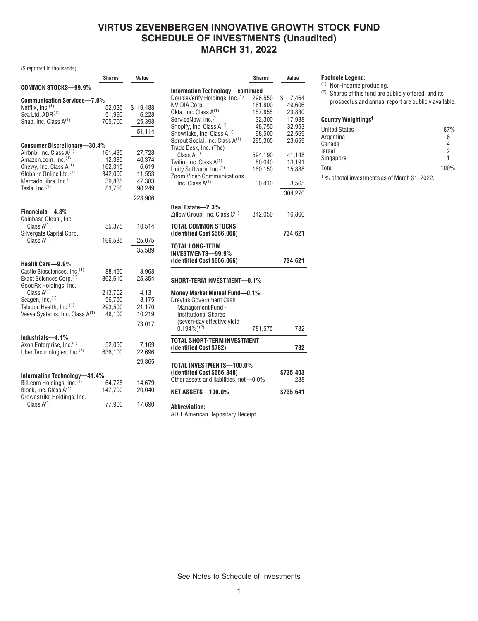# **VIRTUS ZEVENBERGEN INNOVATIVE GROWTH STOCK FUND SCHEDULE OF INVESTMENTS (Unaudited) MARCH 31, 2022**

(\$ reported in thousands)

|                                                                                   | Shares            | Value            |
|-----------------------------------------------------------------------------------|-------------------|------------------|
| COMMON STOCKS—99.9%                                                               |                   |                  |
| <b>Communication Services-7.0%</b>                                                |                   |                  |
| Netflix. $Inc.$ <sup>(1)</sup>                                                    | 52,025            | \$19,488         |
| Sea Ltd. ADR(1)                                                                   | 51,990            | 6,228            |
| Snap, Inc. Class A <sup>(1)</sup>                                                 | 705.700           | 25,398           |
|                                                                                   |                   | 51,114           |
| <b>Consumer Discretionary-30.4%</b>                                               |                   |                  |
| Airbnb, Inc. Class A <sup>(1)</sup>                                               | 161,435           | 27,728           |
| Amazon.com, Inc. <sup>(1)</sup>                                                   | 12,385            | 40,374           |
| Chewy, Inc. Class A <sup>(1)</sup>                                                | 162,315           | 6,619            |
| Global-e Online Ltd. <sup>(1)</sup>                                               | 342,000           | 11,553           |
| MercadoLibre, Inc. <sup>(1)</sup>                                                 | 39,835            | 47,383           |
| Tesla, Inc. $(1)$                                                                 | 83,750            | 90,249           |
|                                                                                   |                   | 223,906          |
| Financials-4.8%                                                                   |                   |                  |
| Coinbase Global, Inc.                                                             |                   |                  |
| Class $A^{(1)}$                                                                   | 55,375            | 10,514           |
| Silvergate Capital Corp.                                                          |                   |                  |
| Class $A^{(1)}$                                                                   | 166,535           | 25,075           |
|                                                                                   |                   | 35,589           |
| Health Care-9.9%                                                                  |                   |                  |
| Castle Biosciences, Inc. <sup>(1)</sup>                                           | 88,450            | 3,968            |
| Exact Sciences Corp. <sup>(1)</sup>                                               | 362,610           | 25,354           |
| GoodRx Holdings, Inc.                                                             |                   |                  |
| Class $A^{(1)}$                                                                   | 213,702           | 4,131            |
| Seagen, Inc.(1)                                                                   | 56,750            | 8,175            |
| Teladoc Health, Inc. <sup>(1)</sup><br>Veeva Systems, Inc. Class A <sup>(1)</sup> | 293,500<br>48,100 | 21,170<br>10,219 |
|                                                                                   |                   |                  |
|                                                                                   |                   | 73,017           |
| Industrials-4.1%                                                                  |                   |                  |
| Axon Enterprise, Inc. <sup>(1)</sup>                                              | 52,050            | 7,169            |
| Uber Technologies, Inc. (1)                                                       | 636,100           | 22,696           |
|                                                                                   |                   | 29,865           |
| <b>Information Technology-</b><br>-41.4%                                          |                   |                  |
| Bill.com Holdings, Inc. <sup>(1)</sup>                                            | 64,725            | 14,679           |
| Block, Inc. Class A <sup>(1)</sup>                                                | 147,790           | 20,040           |
| Crowdstrike Holdings, Inc.                                                        |                   |                  |
| Class $A^{(1)}$                                                                   | 77,900            | 17,690           |

|                                                    | <b>Shares</b> | Value            |
|----------------------------------------------------|---------------|------------------|
| Information Technology-continued                   |               |                  |
| DoubleVerify Holdings, Inc.(1)                     | 296,550       | \$<br>7,464      |
| <b>NVIDIA Corp.</b>                                | 181,800       | 49,606           |
| Okta, Inc. Class A(1)                              | 157,855       | 23,830           |
| ServiceNow, Inc. <sup>(1)</sup>                    | 32,300        | 17,988           |
| Shopify, Inc. Class A(1)                           | 48,750        | 32,953           |
| Snowflake, Inc. Class A(1)                         | 98,500        | 22,569           |
| Sprout Social, Inc. Class A <sup>(1)</sup>         | 295.300       | 23.659           |
| Trade Desk, Inc. (The)                             |               |                  |
| Class $A^{(1)}$                                    | 594,190       | 41,148           |
| Twilio, Inc. Class A <sup>(1)</sup>                | 80,040        | 13,191           |
| Unity Software, Inc. <sup>(1)</sup>                | 160,150       | 15,888           |
| Zoom Video Communications,                         |               |                  |
| Inc. Class A <sup>(1)</sup>                        | 30,410        | 3,565            |
|                                                    |               |                  |
|                                                    |               | 304,270          |
| Real Estate-2.3%                                   |               |                  |
| Zillow Group, Inc. Class $C^{(1)}$                 | 342,050       | 16,860           |
|                                                    |               |                  |
| TOTAL COMMON STOCKS<br>(Identified Cost \$566,066) |               | 734,621          |
| (Identified Cost \$566,066)                        |               | 734,621          |
| SHORT-TERM INVESTMENT-0.1%                         |               |                  |
|                                                    |               |                  |
| Money Market Mutual Fund-0.1%                      |               |                  |
| Dreyfus Government Cash                            |               |                  |
| Management Fund -                                  |               |                  |
| <b>Institutional Shares</b>                        |               |                  |
| (seven-day effective yield                         |               |                  |
| $(0.194\%)^{(2)}$                                  | 781,575       |                  |
| <b>TOTAL SHORT-TERM INVESTMENT</b>                 |               |                  |
| (Identified Cost \$782)                            |               | 782<br>782       |
|                                                    |               |                  |
| TOTAL INVESTMENTS-100.0%                           |               |                  |
| (Identified Cost \$566,848)                        |               |                  |
| Other assets and liabilities, net-0.0%             |               | \$735,403<br>238 |
| <b>NET ASSETS-100.0%</b>                           |               | \$735,641        |
| <b>Abbreviation:</b>                               |               |                  |

### **Footnote Legend:**

(1) Non-income producing.

(2) Shares of this fund are publicly offered, and its prospectus and annual report are publicly available.

### **Country Weightings†**

| <b>OUGHLY WULGHLING</b>                                |      |
|--------------------------------------------------------|------|
| <b>United States</b>                                   | 87%  |
| Argentina                                              | 6    |
| Canada                                                 |      |
| Israel                                                 | 2    |
| Singapore                                              |      |
| Total                                                  | 100% |
| $\dagger$ % of total investments as of March 31, 2022. |      |

See Notes to Schedule of Investments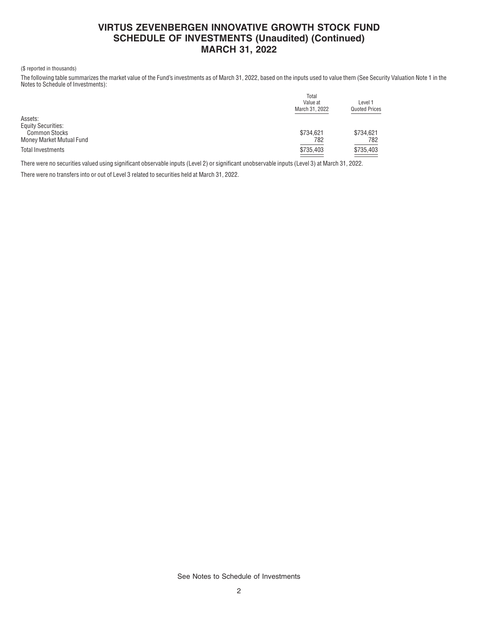## **VIRTUS ZEVENBERGEN INNOVATIVE GROWTH STOCK FUND SCHEDULE OF INVESTMENTS (Unaudited) (Continued) MARCH 31, 2022**

#### (\$ reported in thousands)

The following table summarizes the market value of the Fund's investments as of March 31, 2022, based on the inputs used to value them (See Security Valuation Note 1 in the Notes to Schedule of Investments):

|                           | Total<br>Value at<br>March 31, 2022 | Level 1<br><b>Quoted Prices</b> |
|---------------------------|-------------------------------------|---------------------------------|
| Assets:                   |                                     |                                 |
| <b>Equity Securities:</b> |                                     |                                 |
| <b>Common Stocks</b>      | \$734,621                           | \$734,621                       |
| Money Market Mutual Fund  | 782                                 | 782                             |
| <b>Total Investments</b>  | \$735,403                           | \$735,403                       |

There were no securities valued using significant observable inputs (Level 2) or significant unobservable inputs (Level 3) at March 31, 2022.

There were no transfers into or out of Level 3 related to securities held at March 31, 2022.

See Notes to Schedule of Investments